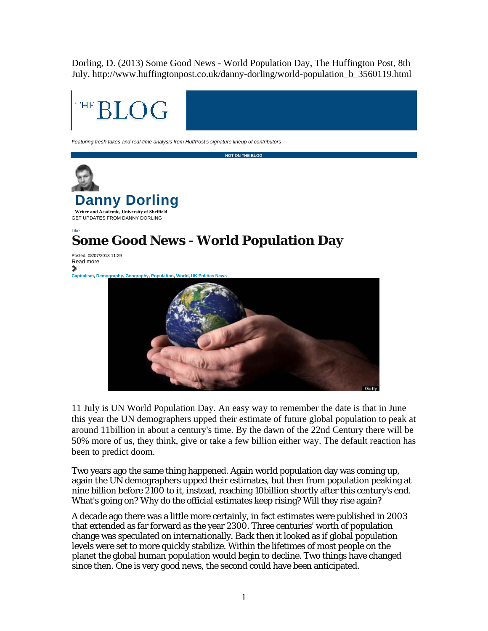Dorling, D. (2013) Some Good News - World Population Day, The Huffington Post, 8th July, http://www.huffingtonpost.co.uk/danny-dorling/world-population\_b\_3560119.html



11 July is UN World Population Day. An easy way to remember the date is that in June this year the UN demographers upped their estimate of future global population to peak at around 11billion in about a century's time. By the dawn of the 22nd Century there will be 50% more of us, they think, give or take a few billion either way. The default reaction has been to predict doom.

Getty

Two years ago the same thing happened. Again world population day was coming up, again the UN demographers upped their estimates, but then from population peaking at nine billion before 2100 to it, instead, reaching 10billion shortly after this century's end. What's going on? Why do the official estimates keep rising? Will they rise again?

A decade ago there was a little more certainly, in fact estimates were published in 2003 that extended as far forward as the year 2300. Three centuries' worth of population change was speculated on internationally. Back then it looked as if global population levels were set to more quickly stabilize. Within the lifetimes of most people on the planet the global human population would begin to decline. Two things have changed since then. One is very good news, the second could have been anticipated.